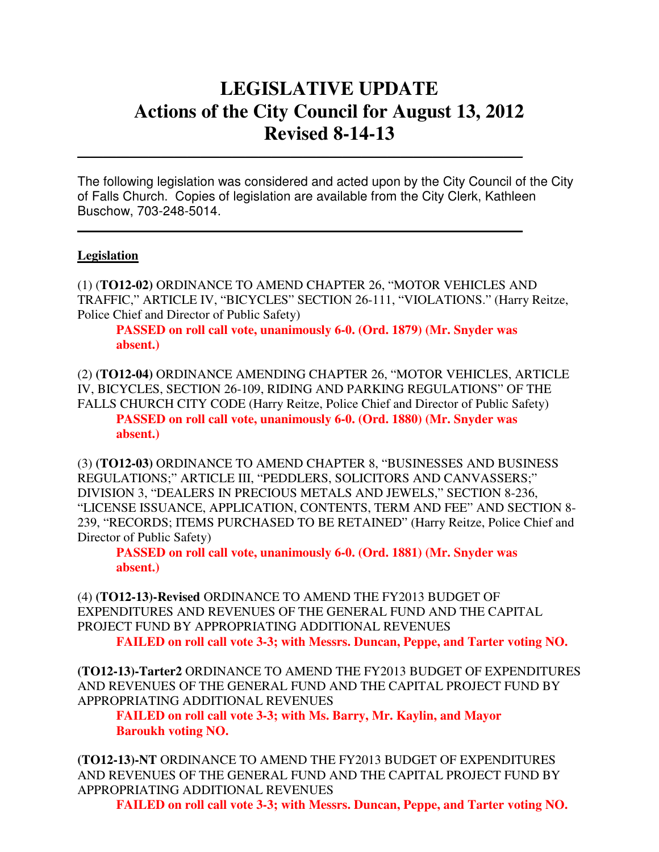# **LEGISLATIVE UPDATE Actions of the City Council for August 13, 2012 Revised 8-14-13**

The following legislation was considered and acted upon by the City Council of the City of Falls Church. Copies of legislation are available from the City Clerk, Kathleen Buschow, 703-248-5014.

 $\mathcal{L}_\text{max}$  and  $\mathcal{L}_\text{max}$  and  $\mathcal{L}_\text{max}$  and  $\mathcal{L}_\text{max}$  and  $\mathcal{L}_\text{max}$  and  $\mathcal{L}_\text{max}$ 

 $\mathcal{L}_\text{max}$  and  $\mathcal{L}_\text{max}$  and  $\mathcal{L}_\text{max}$  and  $\mathcal{L}_\text{max}$  and  $\mathcal{L}_\text{max}$  and  $\mathcal{L}_\text{max}$ 

#### **Legislation**

(1) (**TO12-02)** ORDINANCE TO AMEND CHAPTER 26, "MOTOR VEHICLES AND TRAFFIC," ARTICLE IV, "BICYCLES" SECTION 26-111, "VIOLATIONS." (Harry Reitze, Police Chief and Director of Public Safety)

 **PASSED on roll call vote, unanimously 6-0. (Ord. 1879) (Mr. Snyder was absent.)** 

(2) **(TO12-04)** ORDINANCE AMENDING CHAPTER 26, "MOTOR VEHICLES, ARTICLE IV, BICYCLES, SECTION 26-109, RIDING AND PARKING REGULATIONS" OF THE FALLS CHURCH CITY CODE (Harry Reitze, Police Chief and Director of Public Safety)  **PASSED on roll call vote, unanimously 6-0. (Ord. 1880) (Mr. Snyder was absent.)** 

(3) **(TO12-03)** ORDINANCE TO AMEND CHAPTER 8, "BUSINESSES AND BUSINESS REGULATIONS;" ARTICLE III, "PEDDLERS, SOLICITORS AND CANVASSERS;" DIVISION 3, "DEALERS IN PRECIOUS METALS AND JEWELS," SECTION 8-236, "LICENSE ISSUANCE, APPLICATION, CONTENTS, TERM AND FEE" AND SECTION 8- 239, "RECORDS; ITEMS PURCHASED TO BE RETAINED" (Harry Reitze, Police Chief and Director of Public Safety)

 **PASSED on roll call vote, unanimously 6-0. (Ord. 1881) (Mr. Snyder was absent.)** 

(4) **(TO12-13)-Revised** ORDINANCE TO AMEND THE FY2013 BUDGET OF EXPENDITURES AND REVENUES OF THE GENERAL FUND AND THE CAPITAL PROJECT FUND BY APPROPRIATING ADDITIONAL REVENUES  **FAILED on roll call vote 3-3; with Messrs. Duncan, Peppe, and Tarter voting NO.** 

**(TO12-13)-Tarter2** ORDINANCE TO AMEND THE FY2013 BUDGET OF EXPENDITURES AND REVENUES OF THE GENERAL FUND AND THE CAPITAL PROJECT FUND BY APPROPRIATING ADDITIONAL REVENUES

 **FAILED on roll call vote 3-3; with Ms. Barry, Mr. Kaylin, and Mayor Baroukh voting NO.** 

**(TO12-13)-NT** ORDINANCE TO AMEND THE FY2013 BUDGET OF EXPENDITURES AND REVENUES OF THE GENERAL FUND AND THE CAPITAL PROJECT FUND BY APPROPRIATING ADDITIONAL REVENUES

 **FAILED on roll call vote 3-3; with Messrs. Duncan, Peppe, and Tarter voting NO.**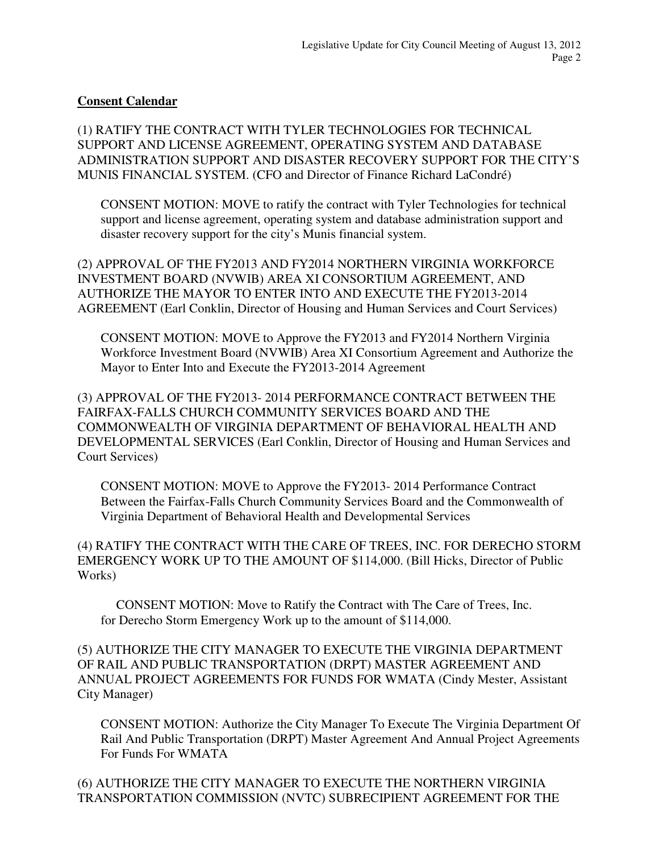### **Consent Calendar**

(1) RATIFY THE CONTRACT WITH TYLER TECHNOLOGIES FOR TECHNICAL SUPPORT AND LICENSE AGREEMENT, OPERATING SYSTEM AND DATABASE ADMINISTRATION SUPPORT AND DISASTER RECOVERY SUPPORT FOR THE CITY'S MUNIS FINANCIAL SYSTEM. (CFO and Director of Finance Richard LaCondré)

CONSENT MOTION: MOVE to ratify the contract with Tyler Technologies for technical support and license agreement, operating system and database administration support and disaster recovery support for the city's Munis financial system.

(2) APPROVAL OF THE FY2013 AND FY2014 NORTHERN VIRGINIA WORKFORCE INVESTMENT BOARD (NVWIB) AREA XI CONSORTIUM AGREEMENT, AND AUTHORIZE THE MAYOR TO ENTER INTO AND EXECUTE THE FY2013-2014 AGREEMENT (Earl Conklin, Director of Housing and Human Services and Court Services)

CONSENT MOTION: MOVE to Approve the FY2013 and FY2014 Northern Virginia Workforce Investment Board (NVWIB) Area XI Consortium Agreement and Authorize the Mayor to Enter Into and Execute the FY2013-2014 Agreement

(3) APPROVAL OF THE FY2013- 2014 PERFORMANCE CONTRACT BETWEEN THE FAIRFAX-FALLS CHURCH COMMUNITY SERVICES BOARD AND THE COMMONWEALTH OF VIRGINIA DEPARTMENT OF BEHAVIORAL HEALTH AND DEVELOPMENTAL SERVICES (Earl Conklin, Director of Housing and Human Services and Court Services)

CONSENT MOTION: MOVE to Approve the FY2013- 2014 Performance Contract Between the Fairfax-Falls Church Community Services Board and the Commonwealth of Virginia Department of Behavioral Health and Developmental Services

(4) RATIFY THE CONTRACT WITH THE CARE OF TREES, INC. FOR DERECHO STORM EMERGENCY WORK UP TO THE AMOUNT OF \$114,000. (Bill Hicks, Director of Public Works)

 CONSENT MOTION: Move to Ratify the Contract with The Care of Trees, Inc. for Derecho Storm Emergency Work up to the amount of \$114,000.

(5) AUTHORIZE THE CITY MANAGER TO EXECUTE THE VIRGINIA DEPARTMENT OF RAIL AND PUBLIC TRANSPORTATION (DRPT) MASTER AGREEMENT AND ANNUAL PROJECT AGREEMENTS FOR FUNDS FOR WMATA (Cindy Mester, Assistant City Manager)

CONSENT MOTION: Authorize the City Manager To Execute The Virginia Department Of Rail And Public Transportation (DRPT) Master Agreement And Annual Project Agreements For Funds For WMATA

(6) AUTHORIZE THE CITY MANAGER TO EXECUTE THE NORTHERN VIRGINIA TRANSPORTATION COMMISSION (NVTC) SUBRECIPIENT AGREEMENT FOR THE